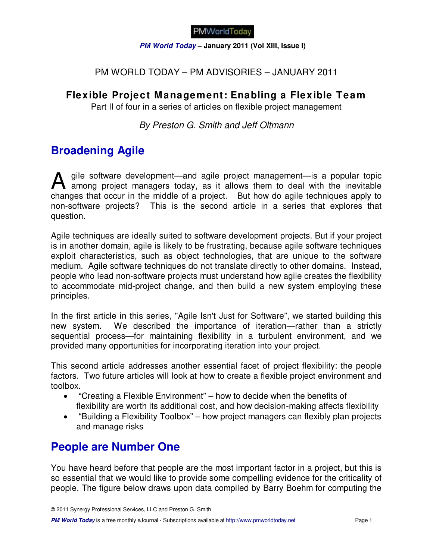**PM World Today – January 2011 (Vol XIII, Issue I)** 

## PM WORLD TODAY – PM ADVISORIES – JANUARY 2011

## **Flexible Project Management: Enabling a Flexible Team**

Part II of four in a series of articles on flexible project management

By Preston G. Smith and Jeff Oltmann

# **Broadening Agile**

gile software development—and agile project management—is a popular topic A gile software development—and agile project management—is a popular topic<br>among project managers today, as it allows them to deal with the inevitable changes that occur in the middle of a project. But how do agile techniques apply to non-software projects? This is the second article in a series that explores that question.

Agile techniques are ideally suited to software development projects. But if your project is in another domain, agile is likely to be frustrating, because agile software techniques exploit characteristics, such as object technologies, that are unique to the software medium. Agile software techniques do not translate directly to other domains. Instead, people who lead non-software projects must understand how agile creates the flexibility to accommodate mid-project change, and then build a new system employing these principles.

In the first article in this series, "Agile Isn't Just for Software", we started building this new system. We described the importance of iteration—rather than a strictly sequential process—for maintaining flexibility in a turbulent environment, and we provided many opportunities for incorporating iteration into your project.

This second article addresses another essential facet of project flexibility: the people factors. Two future articles will look at how to create a flexible project environment and toolbox.

- "Creating a Flexible Environment" how to decide when the benefits of flexibility are worth its additional cost, and how decision-making affects flexibility
- "Building a Flexibility Toolbox" how project managers can flexibly plan projects and manage risks

# **People are Number One**

You have heard before that people are the most important factor in a project, but this is so essential that we would like to provide some compelling evidence for the criticality of people. The figure below draws upon data compiled by Barry Boehm for computing the

**PM World Today** is a free monthly eJournal - Subscriptions available at http://www.pmworldtoday.net Page 1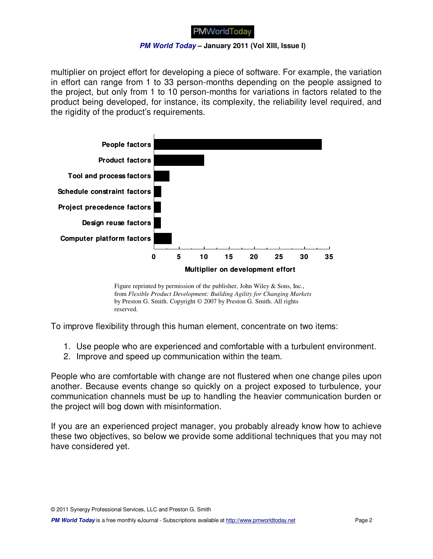#### **PM World Today – January 2011 (Vol XIII, Issue I)**

multiplier on project effort for developing a piece of software. For example, the variation in effort can range from 1 to 33 person-months depending on the people assigned to the project, but only from 1 to 10 person-months for variations in factors related to the product being developed, for instance, its complexity, the reliability level required, and the rigidity of the product's requirements.



Figure reprinted by permission of the publisher, John Wiley & Sons, Inc., from *Flexible Product Development: Building Agility for Changing Markets* by Preston G. Smith. Copyright © 2007 by Preston G. Smith. All rights reserved.

To improve flexibility through this human element, concentrate on two items:

- 1. Use people who are experienced and comfortable with a turbulent environment.
- 2. Improve and speed up communication within the team.

People who are comfortable with change are not flustered when one change piles upon another. Because events change so quickly on a project exposed to turbulence, your communication channels must be up to handling the heavier communication burden or the project will bog down with misinformation.

If you are an experienced project manager, you probably already know how to achieve these two objectives, so below we provide some additional techniques that you may not have considered yet.

© 2011 Synergy Professional Services, LLC and Preston G. Smith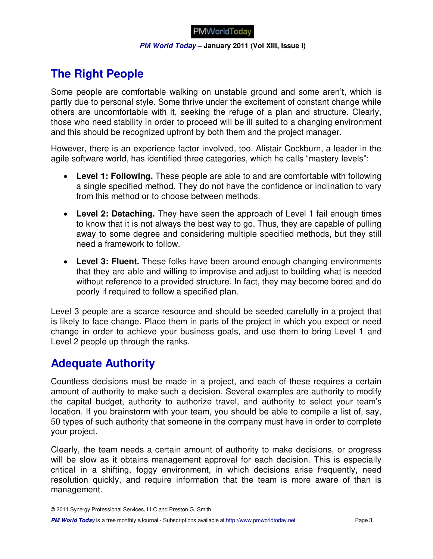#### **PM World Today – January 2011 (Vol XIII, Issue I)**

# **The Right People**

Some people are comfortable walking on unstable ground and some aren't, which is partly due to personal style. Some thrive under the excitement of constant change while others are uncomfortable with it, seeking the refuge of a plan and structure. Clearly, those who need stability in order to proceed will be ill suited to a changing environment and this should be recognized upfront by both them and the project manager.

However, there is an experience factor involved, too. Alistair Cockburn, a leader in the agile software world, has identified three categories, which he calls "mastery levels":

- **Level 1: Following.** These people are able to and are comfortable with following a single specified method. They do not have the confidence or inclination to vary from this method or to choose between methods.
- **Level 2: Detaching.** They have seen the approach of Level 1 fail enough times to know that it is not always the best way to go. Thus, they are capable of pulling away to some degree and considering multiple specified methods, but they still need a framework to follow.
- **Level 3: Fluent.** These folks have been around enough changing environments that they are able and willing to improvise and adjust to building what is needed without reference to a provided structure. In fact, they may become bored and do poorly if required to follow a specified plan.

Level 3 people are a scarce resource and should be seeded carefully in a project that is likely to face change. Place them in parts of the project in which you expect or need change in order to achieve your business goals, and use them to bring Level 1 and Level 2 people up through the ranks.

## **Adequate Authority**

Countless decisions must be made in a project, and each of these requires a certain amount of authority to make such a decision. Several examples are authority to modify the capital budget, authority to authorize travel, and authority to select your team's location. If you brainstorm with your team, you should be able to compile a list of, say, 50 types of such authority that someone in the company must have in order to complete your project.

Clearly, the team needs a certain amount of authority to make decisions, or progress will be slow as it obtains management approval for each decision. This is especially critical in a shifting, foggy environment, in which decisions arise frequently, need resolution quickly, and require information that the team is more aware of than is management.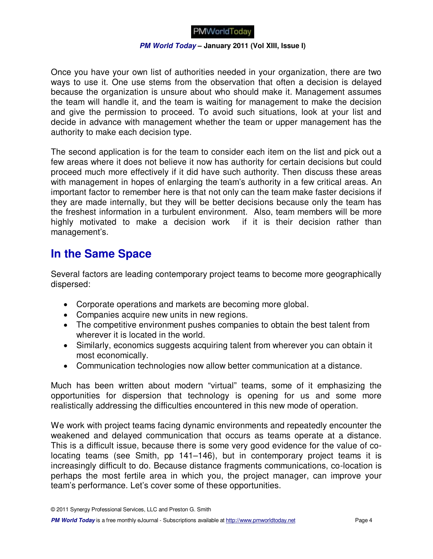#### **PM World Today – January 2011 (Vol XIII, Issue I)**

Once you have your own list of authorities needed in your organization, there are two ways to use it. One use stems from the observation that often a decision is delayed because the organization is unsure about who should make it. Management assumes the team will handle it, and the team is waiting for management to make the decision and give the permission to proceed. To avoid such situations, look at your list and decide in advance with management whether the team or upper management has the authority to make each decision type.

The second application is for the team to consider each item on the list and pick out a few areas where it does not believe it now has authority for certain decisions but could proceed much more effectively if it did have such authority. Then discuss these areas with management in hopes of enlarging the team's authority in a few critical areas. An important factor to remember here is that not only can the team make faster decisions if they are made internally, but they will be better decisions because only the team has the freshest information in a turbulent environment. Also, team members will be more highly motivated to make a decision work if it is their decision rather than management's.

## **In the Same Space**

Several factors are leading contemporary project teams to become more geographically dispersed:

- Corporate operations and markets are becoming more global.
- Companies acquire new units in new regions.
- The competitive environment pushes companies to obtain the best talent from wherever it is located in the world.
- Similarly, economics suggests acquiring talent from wherever you can obtain it most economically.
- Communication technologies now allow better communication at a distance.

Much has been written about modern "virtual" teams, some of it emphasizing the opportunities for dispersion that technology is opening for us and some more realistically addressing the difficulties encountered in this new mode of operation.

We work with project teams facing dynamic environments and repeatedly encounter the weakened and delayed communication that occurs as teams operate at a distance. This is a difficult issue, because there is some very good evidence for the value of colocating teams (see Smith, pp 141–146), but in contemporary project teams it is increasingly difficult to do. Because distance fragments communications, co-location is perhaps the most fertile area in which you, the project manager, can improve your team's performance. Let's cover some of these opportunities.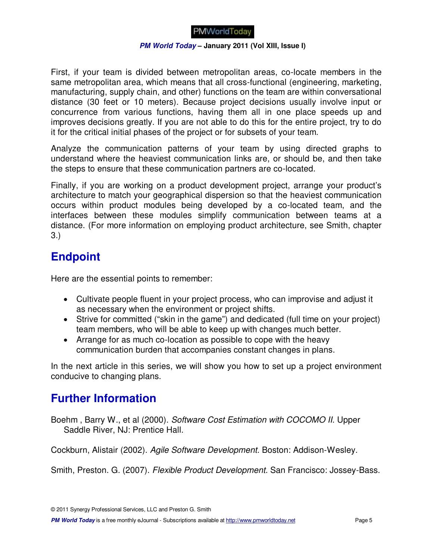#### **PM World Today – January 2011 (Vol XIII, Issue I)**

First, if your team is divided between metropolitan areas, co-locate members in the same metropolitan area, which means that all cross-functional (engineering, marketing, manufacturing, supply chain, and other) functions on the team are within conversational distance (30 feet or 10 meters). Because project decisions usually involve input or concurrence from various functions, having them all in one place speeds up and improves decisions greatly. If you are not able to do this for the entire project, try to do it for the critical initial phases of the project or for subsets of your team.

Analyze the communication patterns of your team by using directed graphs to understand where the heaviest communication links are, or should be, and then take the steps to ensure that these communication partners are co-located.

Finally, if you are working on a product development project, arrange your product's architecture to match your geographical dispersion so that the heaviest communication occurs within product modules being developed by a co-located team, and the interfaces between these modules simplify communication between teams at a distance. (For more information on employing product architecture, see Smith, chapter 3.)

# **Endpoint**

Here are the essential points to remember:

- Cultivate people fluent in your project process, who can improvise and adjust it as necessary when the environment or project shifts.
- Strive for committed ("skin in the game") and dedicated (full time on your project) team members, who will be able to keep up with changes much better.
- Arrange for as much co-location as possible to cope with the heavy communication burden that accompanies constant changes in plans.

In the next article in this series, we will show you how to set up a project environment conducive to changing plans.

# **Further Information**

Boehm , Barry W., et al (2000). Software Cost Estimation with COCOMO II. Upper Saddle River, NJ: Prentice Hall.

Cockburn, Alistair (2002). Agile Software Development. Boston: Addison-Wesley.

Smith, Preston. G. (2007). Flexible Product Development. San Francisco: Jossey-Bass.

© 2011 Synergy Professional Services, LLC and Preston G. Smith

**PM World Today** is a free monthly eJournal - Subscriptions available at http://www.pmworldtoday.net Page 5